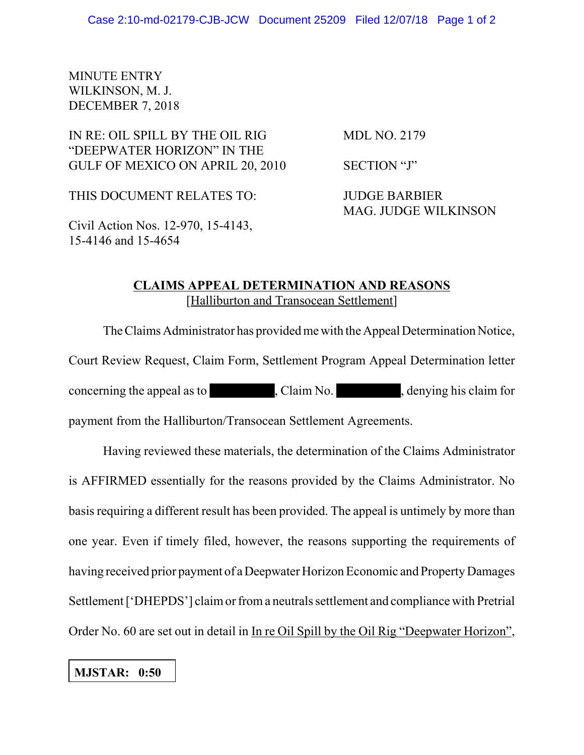## MINUTE ENTRY WILKINSON, M. J. DECEMBER 7, 2018

## IN RE: OIL SPILL BY THE OIL RIG MDL NO. 2179 "DEEPWATER HORIZON" IN THE GULF OF MEXICO ON APRIL 20, 2010 SECTION "J"

THIS DOCUMENT RELATES TO: JUDGE BARBIER

MAG. JUDGE WILKINSON

Civil Action Nos. 12-970, 15-4143, 15-4146 and 15-4654

## **CLAIMS APPEAL DETERMINATION AND REASONS** [Halliburton and Transocean Settlement]

The Claims Administrator has provided me with the Appeal Determination Notice, Court Review Request, Claim Form, Settlement Program Appeal Determination letter concerning the appeal as to , Claim No. , denying his claim for payment from the Halliburton/Transocean Settlement Agreements.

Having reviewed these materials, the determination of the Claims Administrator is AFFIRMED essentially for the reasons provided by the Claims Administrator. No basis requiring a different result has been provided. The appeal is untimely by more than one year. Even if timely filed, however, the reasons supporting the requirements of having received prior payment of a Deepwater Horizon Economic and Property Damages Settlement ['DHEPDS'] claim or from a neutrals settlement and compliance with Pretrial Order No. 60 are set out in detail in In re Oil Spill by the Oil Rig "Deepwater Horizon",

## **MJSTAR: 0:50**